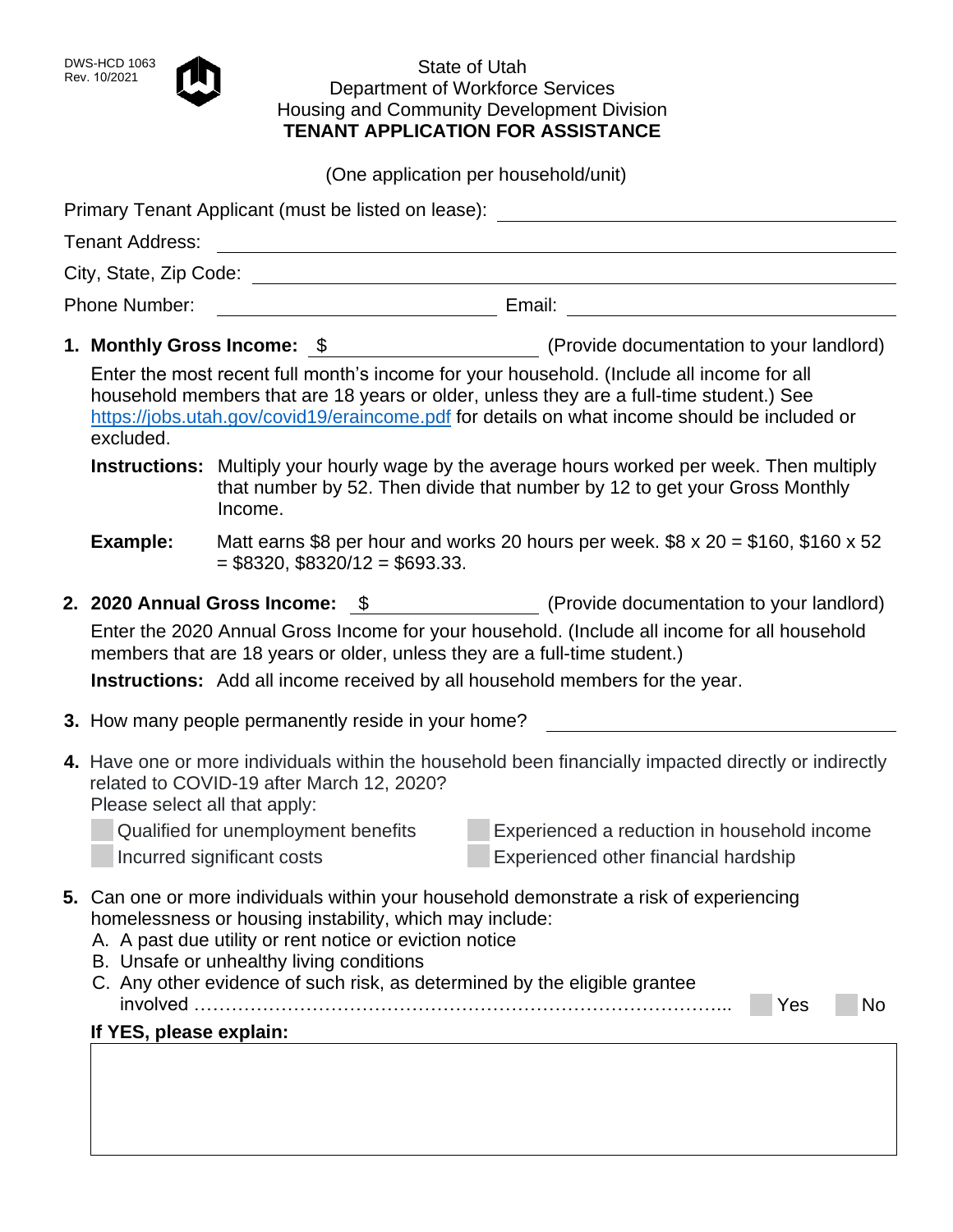## DWS-HCD 1063<br>Rev. 10/2021 State of Utah Department of Workforce Services Housing and Community Development Division **TENANT APPLICATION FOR ASSISTANCE**

(One application per household/unit)

|               |                                                                                                                                                                                                                                                                                                                                                                                |                                                                   | Primary Tenant Applicant (must be listed on lease):                                                                                                                              |  |  |
|---------------|--------------------------------------------------------------------------------------------------------------------------------------------------------------------------------------------------------------------------------------------------------------------------------------------------------------------------------------------------------------------------------|-------------------------------------------------------------------|----------------------------------------------------------------------------------------------------------------------------------------------------------------------------------|--|--|
|               | <b>Tenant Address:</b>                                                                                                                                                                                                                                                                                                                                                         |                                                                   |                                                                                                                                                                                  |  |  |
|               |                                                                                                                                                                                                                                                                                                                                                                                |                                                                   | <u> 1980 - Johann Barn, mars ann an t-Amhain Aonaichte ann an t-Amhain Aonaichte ann an t-Amhain Aonaichte ann an</u>                                                            |  |  |
|               |                                                                                                                                                                                                                                                                                                                                                                                |                                                                   |                                                                                                                                                                                  |  |  |
| Phone Number: |                                                                                                                                                                                                                                                                                                                                                                                |                                                                   |                                                                                                                                                                                  |  |  |
|               |                                                                                                                                                                                                                                                                                                                                                                                |                                                                   |                                                                                                                                                                                  |  |  |
|               | Enter the most recent full month's income for your household. (Include all income for all<br>household members that are 18 years or older, unless they are a full-time student.) See<br>https://jobs.utah.gov/covid19/eraincome.pdf for details on what income should be included or<br>excluded.                                                                              |                                                                   |                                                                                                                                                                                  |  |  |
|               |                                                                                                                                                                                                                                                                                                                                                                                | Income.                                                           | <b>Instructions:</b> Multiply your hourly wage by the average hours worked per week. Then multiply<br>that number by 52. Then divide that number by 12 to get your Gross Monthly |  |  |
|               | Example:                                                                                                                                                                                                                                                                                                                                                                       | $=$ \$8320, \$8320/12 = \$693.33.                                 | Matt earns \$8 per hour and works 20 hours per week. $$8 \times 20 = $160$ , \$160 x 52                                                                                          |  |  |
|               |                                                                                                                                                                                                                                                                                                                                                                                |                                                                   | 2. 2020 Annual Gross Income: \$ (Provide documentation to your landlord)                                                                                                         |  |  |
|               |                                                                                                                                                                                                                                                                                                                                                                                |                                                                   | Enter the 2020 Annual Gross Income for your household. (Include all income for all household<br>members that are 18 years or older, unless they are a full-time student.)        |  |  |
|               |                                                                                                                                                                                                                                                                                                                                                                                |                                                                   | <b>Instructions:</b> Add all income received by all household members for the year.                                                                                              |  |  |
|               |                                                                                                                                                                                                                                                                                                                                                                                | 3. How many people permanently reside in your home?               |                                                                                                                                                                                  |  |  |
|               | Please select all that apply:                                                                                                                                                                                                                                                                                                                                                  | related to COVID-19 after March 12, 2020?                         | 4. Have one or more individuals within the household been financially impacted directly or indirectly                                                                            |  |  |
|               |                                                                                                                                                                                                                                                                                                                                                                                | Qualified for unemployment benefits<br>Incurred significant costs | Experienced a reduction in household income<br>Experienced other financial hardship                                                                                              |  |  |
|               | 5. Can one or more individuals within your household demonstrate a risk of experiencing<br>homelessness or housing instability, which may include:<br>A. A past due utility or rent notice or eviction notice<br>B. Unsafe or unhealthy living conditions<br>C. Any other evidence of such risk, as determined by the eligible grantee<br>Yes<br>No<br>If YES, please explain: |                                                                   |                                                                                                                                                                                  |  |  |
|               |                                                                                                                                                                                                                                                                                                                                                                                |                                                                   |                                                                                                                                                                                  |  |  |